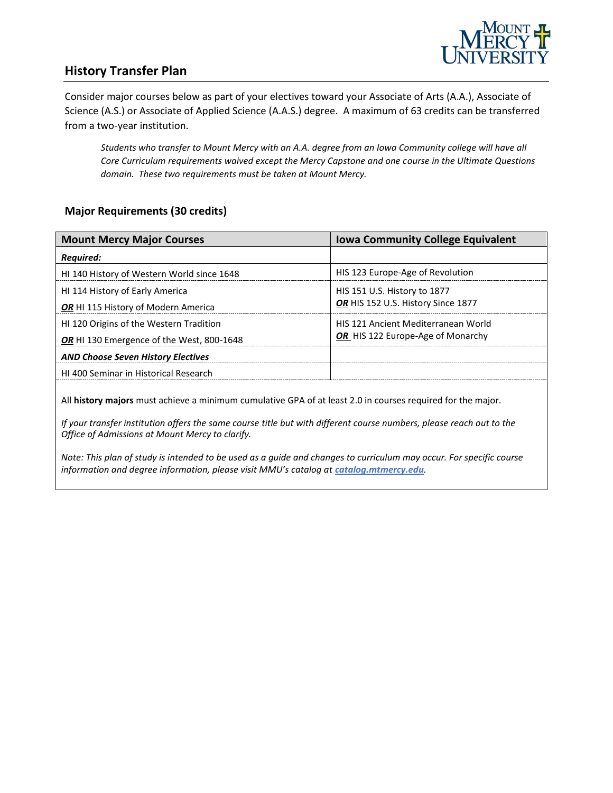

## **History Transfer Plan**

Consider major courses below as part of your electives toward your Associate of Arts (A.A.), Associate of Science (A.S.) or Associate of Applied Science (A.A.S.) degree. A maximum of 63 credits can be transferred from a two-year institution.

*Students who transfer to Mount Mercy with an A.A. degree from an Iowa Community college will have all Core Curriculum requirements waived except the Mercy Capstone and one course in the Ultimate Questions domain. These two requirements must be taken at Mount Mercy.* 

#### **Major Requirements (30 credits)**

| <b>Mount Mercy Major Courses</b>                 | <b>Iowa Community College Equivalent</b>   |
|--------------------------------------------------|--------------------------------------------|
| <b>Required:</b>                                 |                                            |
| HI 140 History of Western World since 1648       | HIS 123 Europe-Age of Revolution           |
| HI 114 History of Early America                  | HIS 151 U.S. History to 1877               |
| <b>OR</b> HI 115 History of Modern America       | OR HIS 152 U.S. History Since 1877         |
| HI 120 Origins of the Western Tradition          | <b>HIS 121 Ancient Mediterranean World</b> |
| <b>OR</b> HI 130 Emergence of the West, 800-1648 | OR HIS 122 Europe-Age of Monarchy          |
| <b>AND Choose Seven History Electives</b>        |                                            |
| <b>HI 400 Seminar in Historical Research</b>     |                                            |

All **history majors** must achieve a minimum cumulative GPA of at least 2.0 in courses required for the major.

*If your transfer institution offers the same course title but with different course numbers, please reach out to the Office of Admissions at Mount Mercy to clarify.*

*Note: This plan of study is intended to be used as a guide and changes to curriculum may occur. For specific course*  information and degree information, please visit MMU's catalog at **catalog.mtmercy.edu**.